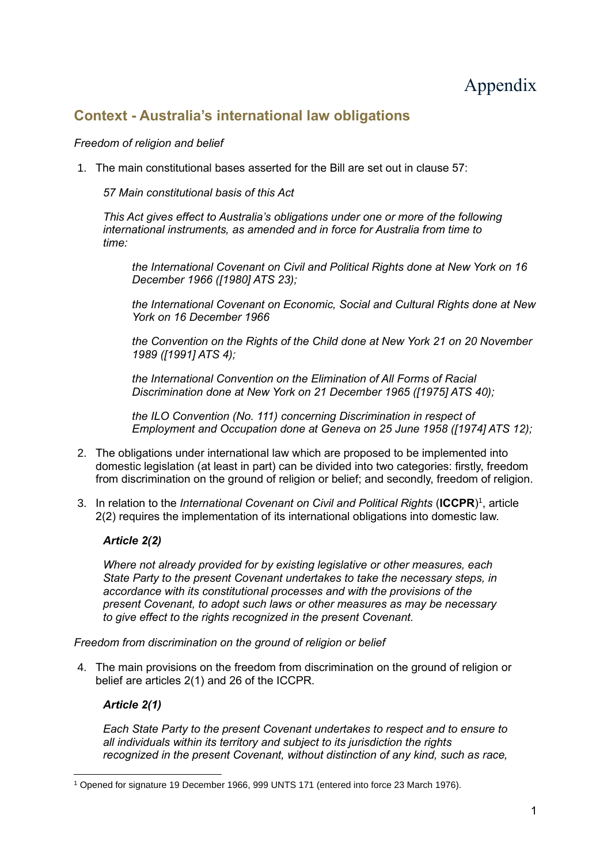# Appendix

# **Context - Australia's international law obligations**

# *Freedom of religion and belief*

1. The main constitutional bases asserted for the Bill are set out in clause 57:

*57 Main constitutional basis of this Act*

*This Act gives effect to Australia's obligations under one or more of the following international instruments, as amended and in force for Australia from time to time:*

*the International Covenant on Civil and Political Rights done at New York on 16 December 1966 ([1980] ATS 23);*

*the International Covenant on Economic, Social and Cultural Rights done at New York on 16 December 1966*

*the Convention on the Rights of the Child done at New York 21 on 20 November 1989 ([1991] ATS 4);*

*the International Convention on the Elimination of All Forms of Racial Discrimination done at New York on 21 December 1965 ([1975] ATS 40);*

*the ILO Convention (No. 111) concerning Discrimination in respect of Employment and Occupation done at Geneva on 25 June 1958 ([1974] ATS 12);*

- 2. The obligations under international law which are proposed to be implemented into domestic legislation (at least in part) can be divided into two categories: firstly, freedom from discrimination on the ground of religion or belief; and secondly, freedom of religion.
- 3. In relation to the *International Covenant on Civil and Political Rights* (**ICCPR**) 1 , article 2(2) requires the implementation of its international obligations into domestic law.

# *Article 2(2)*

*Where not already provided for by existing legislative or other measures, each State Party to the present Covenant undertakes to take the necessary steps, in accordance with its constitutional processes and with the provisions of the present Covenant, to adopt such laws or other measures as may be necessary to give effect to the rights recognized in the present Covenant.*

*Freedom from discrimination on the ground of religion or belief*

4. The main provisions on the freedom from discrimination on the ground of religion or belief are articles 2(1) and 26 of the ICCPR.

# *Article 2(1)*

*Each State Party to the present Covenant undertakes to respect and to ensure to all individuals within its territory and subject to its jurisdiction the rights recognized in the present Covenant, without distinction of any kind, such as race,* 

<sup>1</sup> Opened for signature 19 December 1966, 999 UNTS 171 (entered into force 23 March 1976).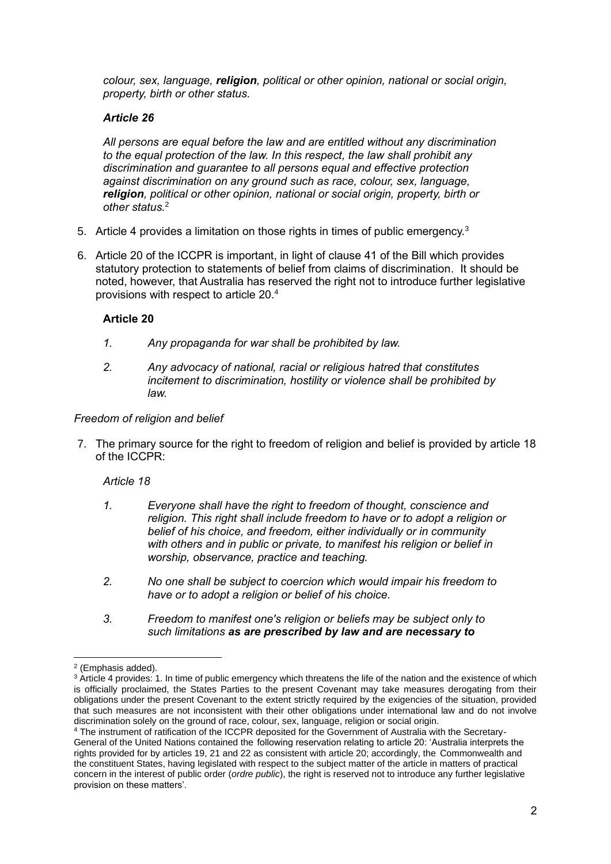*colour, sex, language, religion, political or other opinion, national or social origin, property, birth or other status.*

# *Article 26*

*All persons are equal before the law and are entitled without any discrimination to the equal protection of the law. In this respect, the law shall prohibit any discrimination and guarantee to all persons equal and effective protection against discrimination on any ground such as race, colour, sex, language, religion, political or other opinion, national or social origin, property, birth or other status.*<sup>2</sup>

- 5. Article 4 provides a limitation on those rights in times of public emergency.<sup>3</sup>
- 6. Article 20 of the ICCPR is important, in light of clause 41 of the Bill which provides statutory protection to statements of belief from claims of discrimination. It should be noted, however, that Australia has reserved the right not to introduce further legislative provisions with respect to article 20.<sup>4</sup>

# **Article 20**

- *1. Any propaganda for war shall be prohibited by law.*
- *2. Any advocacy of national, racial or religious hatred that constitutes incitement to discrimination, hostility or violence shall be prohibited by law.*

#### *Freedom of religion and belief*

7. The primary source for the right to freedom of religion and belief is provided by article 18 of the ICCPR:

# *Article 18*

- *1. Everyone shall have the right to freedom of thought, conscience and religion. This right shall include freedom to have or to adopt a religion or belief of his choice, and freedom, either individually or in community with others and in public or private, to manifest his religion or belief in worship, observance, practice and teaching.*
- *2. No one shall be subject to coercion which would impair his freedom to have or to adopt a religion or belief of his choice.*
- *3. Freedom to manifest one's religion or beliefs may be subject only to such limitations as are prescribed by law and are necessary to*

<sup>2</sup> (Emphasis added).

<sup>&</sup>lt;sup>3</sup> Article 4 provides: 1. In time of public emergency which threatens the life of the nation and the existence of which is officially proclaimed, the States Parties to the present Covenant may take measures derogating from their obligations under the present Covenant to the extent strictly required by the exigencies of the situation, provided that such measures are not inconsistent with their other obligations under international law and do not involve discrimination solely on the ground of race, colour, sex, language, religion or social origin.

<sup>4</sup> The instrument of ratification of the ICCPR deposited for the Government of Australia with the Secretary-General of the United Nations contained the following reservation relating to article 20: 'Australia interprets the rights provided for by articles 19, 21 and 22 as consistent with article 20; accordingly, the Commonwealth and the constituent States, having legislated with respect to the subject matter of the article in matters of practical concern in the interest of public order (*ordre public*), the right is reserved not to introduce any further legislative provision on these matters'.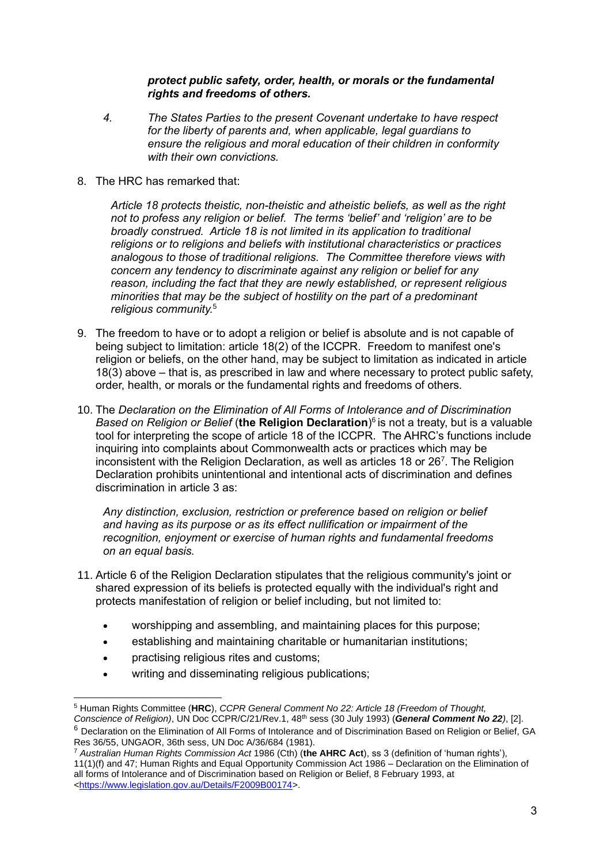#### *protect public safety, order, health, or morals or the fundamental rights and freedoms of others.*

- *4. The States Parties to the present Covenant undertake to have respect for the liberty of parents and, when applicable, legal guardians to ensure the religious and moral education of their children in conformity with their own convictions.*
- 8. The HRC has remarked that:

*Article 18 protects theistic, non-theistic and atheistic beliefs, as well as the right not to profess any religion or belief. The terms 'belief' and 'religion' are to be broadly construed. Article 18 is not limited in its application to traditional religions or to religions and beliefs with institutional characteristics or practices analogous to those of traditional religions. The Committee therefore views with concern any tendency to discriminate against any religion or belief for any reason, including the fact that they are newly established, or represent religious minorities that may be the subject of hostility on the part of a predominant religious community.*<sup>5</sup> 

- 9. The freedom to have or to adopt a religion or belief is absolute and is not capable of being subject to limitation: article 18(2) of the ICCPR. Freedom to manifest one's religion or beliefs, on the other hand, may be subject to limitation as indicated in article 18(3) above – that is, as prescribed in law and where necessary to protect public safety, order, health, or morals or the fundamental rights and freedoms of others.
- 10. The *Declaration on the Elimination of All Forms of Intolerance and of Discrimination Based on Religion or Belief* (**the Religion Declaration**) 6 is not a treaty, but is a valuable tool for interpreting the scope of article 18 of the ICCPR. The AHRC's functions include inquiring into complaints about Commonwealth acts or practices which may be inconsistent with the Religion Declaration, as well as articles 18 or 26<sup>7</sup>. The Religion Declaration prohibits unintentional and intentional acts of discrimination and defines discrimination in article 3 as:

*Any distinction, exclusion, restriction or preference based on religion or belief and having as its purpose or as its effect nullification or impairment of the recognition, enjoyment or exercise of human rights and fundamental freedoms on an equal basis.*

- 11. Article 6 of the Religion Declaration stipulates that the religious community's joint or shared expression of its beliefs is protected equally with the individual's right and protects manifestation of religion or belief including, but not limited to:
	- worshipping and assembling, and maintaining places for this purpose;
	- establishing and maintaining charitable or humanitarian institutions;
	- practising religious rites and customs;
	- writing and disseminating religious publications:

<sup>5</sup> Human Rights Committee (**HRC**), *CCPR General Comment No 22: Article 18 (Freedom of Thought,* 

*Conscience of Religion)*, UN Doc CCPR/C/21/Rev.1, 48th sess (30 July 1993) (*General Comment No 22)*, [2]. <sup>6</sup> Declaration on the Elimination of All Forms of Intolerance and of Discrimination Based on Religion or Belief, GA Res 36/55, UNGAOR, 36th sess, UN Doc A/36/684 (1981).

<sup>7</sup> *Australian Human Rights Commission Act* 1986 (Cth) (**the AHRC Act**), ss 3 (definition of 'human rights'), 11(1)(f) and 47; Human Rights and Equal Opportunity Commission Act 1986 – Declaration on the Elimination of all forms of Intolerance and of Discrimination based on Religion or Belief, 8 February 1993, at [<https://www.legislation.gov.au/Details/F2009B00174>](https://www.legislation.gov.au/Details/F2009B00174).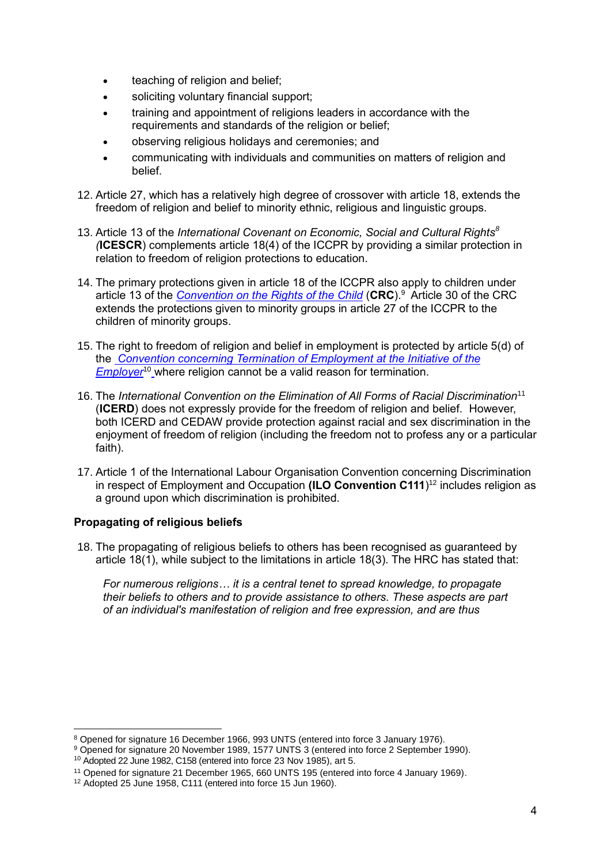- teaching of religion and belief;
- soliciting voluntary financial support;
- training and appointment of religions leaders in accordance with the requirements and standards of the religion or belief;
- observing religious holidays and ceremonies; and
- communicating with individuals and communities on matters of religion and belief.
- 12. Article 27, which has a relatively high degree of crossover with article 18, extends the freedom of religion and belief to minority ethnic, religious and linguistic groups.
- 13. Article 13 of the *International Covenant on Economic, Social and Cultural Rights<sup>8</sup> (***ICESCR**) complements article 18(4) of the ICCPR by providing a similar protection in relation to freedom of religion protections to education.
- 14. The primary protections given in article 18 of the ICCPR also apply to children under article 13 of the *[Convention on the Rights of the Child](https://www.ohchr.org/Documents/ProfessionalInterest/ccpr.pdf)* (**CRC**). <sup>9</sup> Article 30 of the CRC extends the protections given to minority groups in article 27 of the ICCPR to the children of minority groups.
- 15. The right to freedom of religion and belief in employment is protected by article 5(d) of the *[Convention concerning Termination of Employment at the Initiative of the](https://www.ilo.org/dyn/normlex/en/f?p=NORMLEXPUB:12100:0::NO::P12100_ILO_CODE:C158)  [Employer](https://www.ilo.org/dyn/normlex/en/f?p=NORMLEXPUB:12100:0::NO::P12100_ILO_CODE:C158)*<sup>10</sup> where religion cannot be a valid reason for termination.
- 16. The *International Convention on the Elimination of All Forms of Racial Discrimination*<sup>11</sup> (**ICERD**) does not expressly provide for the freedom of religion and belief. However, both ICERD and CEDAW provide protection against racial and sex discrimination in the enjoyment of freedom of religion (including the freedom not to profess any or a particular faith).
- 17. Article 1 of the International Labour Organisation Convention concerning Discrimination in respect of Employment and Occupation **(ILO Convention C111**) <sup>12</sup> includes religion as a ground upon which discrimination is prohibited.

# **Propagating of religious beliefs**

18. The propagating of religious beliefs to others has been recognised as guaranteed by article 18(1), while subject to the limitations in article 18(3). The HRC has stated that:

*For numerous religions… it is a central tenet to spread knowledge, to propagate their beliefs to others and to provide assistance to others. These aspects are part of an individual's manifestation of religion and free expression, and are thus* 

<sup>9</sup> Opened for signature 20 November 1989, 1577 UNTS 3 (entered into force 2 September 1990).

<sup>8</sup> Opened for signature 16 December 1966, 993 UNTS (entered into force 3 January 1976).

<sup>10</sup> Adopted 22 June 1982, C158 (entered into force 23 Nov 1985), art 5.

<sup>&</sup>lt;sup>11</sup> Opened for signature 21 December 1965, 660 UNTS 195 (entered into force 4 January 1969).

<sup>&</sup>lt;sup>12</sup> Adopted 25 June 1958, C111 (entered into force 15 Jun 1960).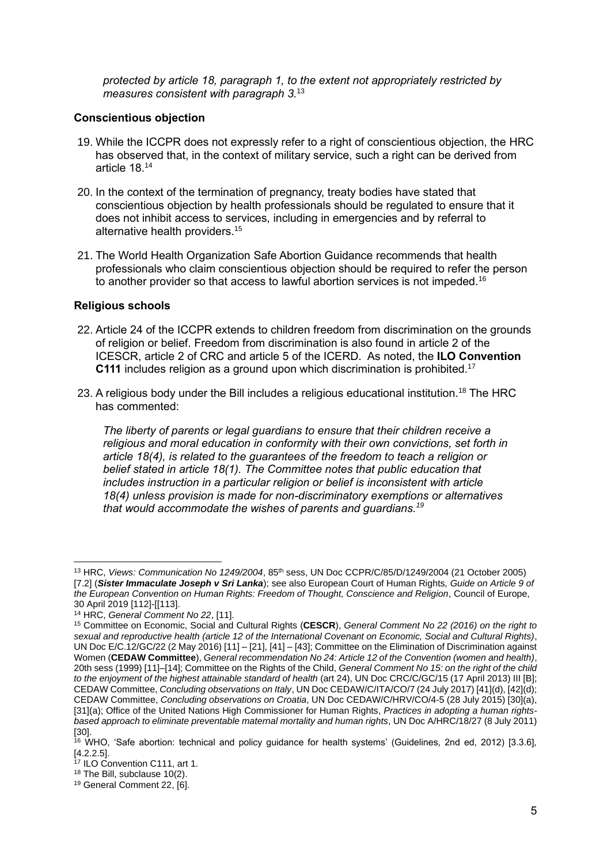*protected by article 18, paragraph 1, to the extent not appropriately restricted by measures consistent with paragraph 3.*<sup>13</sup>

#### **Conscientious objection**

- 19. While the ICCPR does not expressly refer to a right of conscientious objection, the HRC has observed that, in the context of military service, such a right can be derived from article 18.<sup>14</sup>
- 20. In the context of the termination of pregnancy, treaty bodies have stated that conscientious objection by health professionals should be regulated to ensure that it does not inhibit access to services, including in emergencies and by referral to alternative health providers.<sup>15</sup>
- 21. The World Health Organization Safe Abortion Guidance recommends that health professionals who claim conscientious objection should be required to refer the person to another provider so that access to lawful abortion services is not impeded.<sup>16</sup>

#### **Religious schools**

- 22. Article 24 of the ICCPR extends to children freedom from discrimination on the grounds of religion or belief. Freedom from discrimination is also found in article 2 of the ICESCR, article 2 of CRC and article 5 of the ICERD. As noted, the **ILO Convention C111** includes religion as a ground upon which discrimination is prohibited.<sup>17</sup>
- 23. A religious body under the Bill includes a religious educational institution.<sup>18</sup> The HRC has commented:

*The liberty of parents or legal guardians to ensure that their children receive a religious and moral education in conformity with their own convictions, set forth in article 18(4), is related to the guarantees of the freedom to teach a religion or belief stated in article 18(1). The Committee notes that public education that includes instruction in a particular religion or belief is inconsistent with article 18(4) unless provision is made for non-discriminatory exemptions or alternatives that would accommodate the wishes of parents and guardians.<sup>19</sup>*

<sup>13</sup> HRC, *Views: Communication No 1249/2004*, 85th sess, UN Doc CCPR/C/85/D/1249/2004 (21 October 2005) [7.2] (*Sister Immaculate Joseph v Sri Lanka*); see also European Court of Human Rights, *Guide on Article 9 of the European Convention on Human Rights: Freedom of Thought, Conscience and Religion*, Council of Europe, 30 April 2019 [112]-[[113].

<sup>14</sup> HRC, *General Comment No 22*, [11].

<sup>15</sup> Committee on Economic, Social and Cultural Rights (**CESCR**), *General Comment No 22 (2016) on the right to sexual and reproductive health (article 12 of the International Covenant on Economic, Social and Cultural Rights)*, UN Doc E/C.12/GC/22 (2 May 2016) [11] – [21], [41] – [43]; Committee on the Elimination of Discrimination against Women (**CEDAW Committee**), *General recommendation No 24: Article 12 of the Convention (women and health)*, 20th sess (1999) [11]–[14]; Committee on the Rights of the Child, *General Comment No 15: on the right of the child to the enjoyment of the highest attainable standard of health* (art 24), UN Doc CRC/C/GC/15 (17 April 2013) III [B]; CEDAW Committee, *Concluding observations on Italy*, UN Doc CEDAW/C/ITA/CO/7 (24 July 2017) [41](d), [42](d); CEDAW Committee, *Concluding observations on Croatia*, UN Doc CEDAW/C/HRV/CO/4-5 (28 July 2015) [30](a), [31](a); Office of the United Nations High Commissioner for Human Rights, *Practices in adopting a human rightsbased approach to eliminate preventable maternal mortality and human rights*, UN Doc A/HRC/18/27 (8 July 2011) [30].

<sup>16</sup> WHO, 'Safe abortion: technical and policy guidance for health systems' (Guidelines, 2nd ed, 2012) [3.3.6], [4.2.2.5].

<sup>&</sup>lt;sup>17</sup> ILO Convention C111, art 1.

<sup>18</sup> The Bill, subclause 10(2).

<sup>19</sup> General Comment 22, [6].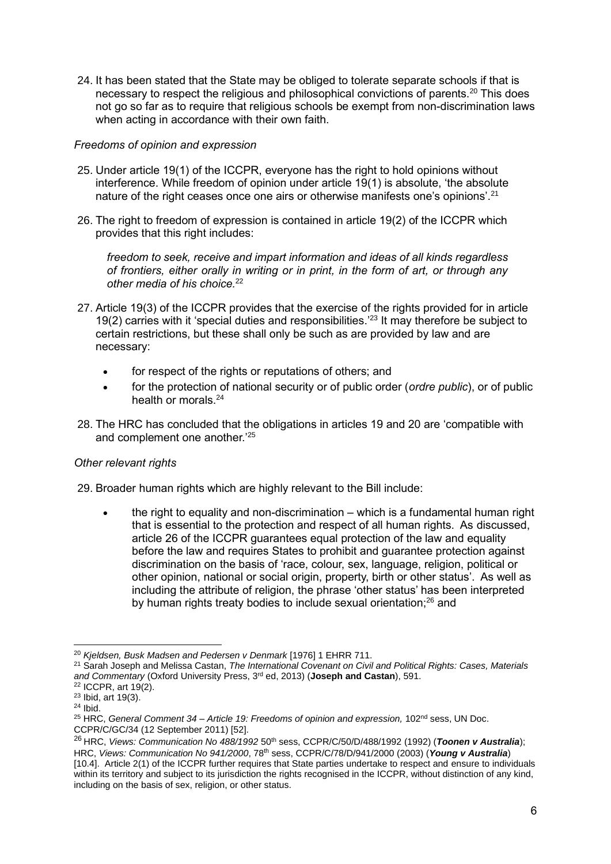24. It has been stated that the State may be obliged to tolerate separate schools if that is necessary to respect the religious and philosophical convictions of parents.<sup>20</sup> This does not go so far as to require that religious schools be exempt from non-discrimination laws when acting in accordance with their own faith.

# *Freedoms of opinion and expression*

- 25. Under article 19(1) of the ICCPR, everyone has the right to hold opinions without interference. While freedom of opinion under article 19(1) is absolute, 'the absolute nature of the right ceases once one airs or otherwise manifests one's opinions'.<sup>21</sup>
- 26. The right to freedom of expression is contained in article 19(2) of the ICCPR which provides that this right includes:

*freedom to seek, receive and impart information and ideas of all kinds regardless of frontiers, either orally in writing or in print, in the form of art, or through any other media of his choice.*<sup>22</sup>

- 27. Article 19(3) of the ICCPR provides that the exercise of the rights provided for in article 19(2) carries with it 'special duties and responsibilities.' <sup>23</sup> It may therefore be subject to certain restrictions, but these shall only be such as are provided by law and are necessary:
	- for respect of the rights or reputations of others; and
	- for the protection of national security or of public order (*ordre public*), or of public health or morals.<sup>24</sup>
- 28. The HRC has concluded that the obligations in articles 19 and 20 are 'compatible with and complement one another.'<sup>25</sup>

# *Other relevant rights*

29. Broader human rights which are highly relevant to the Bill include:

• the right to equality and non-discrimination – which is a fundamental human right that is essential to the protection and respect of all human rights. As discussed, article 26 of the ICCPR guarantees equal protection of the law and equality before the law and requires States to prohibit and guarantee protection against discrimination on the basis of 'race, colour, sex, language, religion, political or other opinion, national or social origin, property, birth or other status'. As well as including the attribute of religion, the phrase 'other status' has been interpreted by human rights treaty bodies to include sexual orientation;<sup>26</sup> and

<sup>20</sup> *Kjeldsen, Busk Madsen and Pedersen v Denmark* [1976] 1 EHRR 711.

<sup>21</sup> Sarah Joseph and Melissa Castan, *The International Covenant on Civil and Political Rights: Cases, Materials and Commentary* (Oxford University Press, 3 rd ed, 2013) (**Joseph and Castan**), 591.

<sup>22</sup> ICCPR, art 19(2).

<sup>23</sup> Ibid, art 19(3).

<sup>24</sup> Ibid.

<sup>&</sup>lt;sup>25</sup> HRC, *General Comment 34 – Article 19: Freedoms of opinion and expression, 102<sup>nd</sup> sess, UN Doc.* CCPR/C/GC/34 (12 September 2011) [52].

<sup>&</sup>lt;sup>26</sup> HRC, *Views: Communication No 488/1992* 50<sup>th</sup> sess, CCPR/C/50/D/488/1992 (1992) (Toonen v Australia); HRC, *Views: Communication No 941/2000*, 78th sess, CCPR/C/78/D/941/2000 (2003) (*Young v Australia*) [10.4]. Article 2(1) of the ICCPR further requires that State parties undertake to respect and ensure to individuals within its territory and subject to its jurisdiction the rights recognised in the ICCPR, without distinction of any kind, including on the basis of sex, religion, or other status.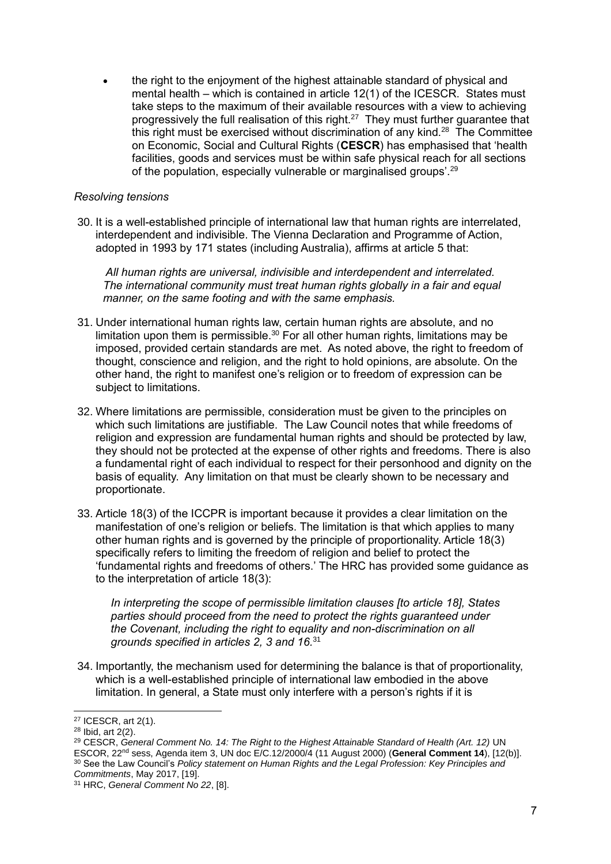• the right to the enjoyment of the highest attainable standard of physical and mental health – which is contained in article 12(1) of the ICESCR. States must take steps to the maximum of their available resources with a view to achieving progressively the full realisation of this right. $27$  They must further guarantee that this right must be exercised without discrimination of any kind. $28$  The Committee on Economic, Social and Cultural Rights (**CESCR**) has emphasised that 'health facilities, goods and services must be within safe physical reach for all sections of the population, especially vulnerable or marginalised groups'.<sup>29</sup>

#### *Resolving tensions*

30. It is a well-established principle of international law that human rights are interrelated, interdependent and indivisible. The Vienna Declaration and Programme of Action, adopted in 1993 by 171 states (including Australia), affirms at article 5 that:

*All human rights are universal, indivisible and interdependent and interrelated. The international community must treat human rights globally in a fair and equal manner, on the same footing and with the same emphasis.*

- 31. Under international human rights law, certain human rights are absolute, and no limitation upon them is permissible.<sup>30</sup> For all other human rights, limitations may be imposed, provided certain standards are met. As noted above, the right to freedom of thought, conscience and religion, and the right to hold opinions, are absolute. On the other hand, the right to manifest one's religion or to freedom of expression can be subject to limitations.
- 32. Where limitations are permissible, consideration must be given to the principles on which such limitations are justifiable. The Law Council notes that while freedoms of religion and expression are fundamental human rights and should be protected by law, they should not be protected at the expense of other rights and freedoms. There is also a fundamental right of each individual to respect for their personhood and dignity on the basis of equality. Any limitation on that must be clearly shown to be necessary and proportionate.
- 33. Article 18(3) of the ICCPR is important because it provides a clear limitation on the manifestation of one's religion or beliefs. The limitation is that which applies to many other human rights and is governed by the principle of proportionality. Article 18(3) specifically refers to limiting the freedom of religion and belief to protect the 'fundamental rights and freedoms of others.' The HRC has provided some guidance as to the interpretation of article 18(3):

*In interpreting the scope of permissible limitation clauses [to article 18], States parties should proceed from the need to protect the rights guaranteed under the Covenant, including the right to equality and non-discrimination on all grounds specified in articles 2, 3 and 16.*<sup>31</sup>

34. Importantly, the mechanism used for determining the balance is that of proportionality, which is a well-established principle of international law embodied in the above limitation. In general, a State must only interfere with a person's rights if it is

<sup>27</sup> ICESCR, art 2(1).

<sup>28</sup> Ibid, art 2(2).

<sup>&</sup>lt;sup>29</sup> CESCR, *General Comment No. 14: The Right to the Highest Attainable Standard of Health (Art. 12) UN* ESCOR, 22nd sess, Agenda item 3, UN doc E/C.12/2000/4 (11 August 2000) (**General Comment 14**), [12(b)]. <sup>30</sup> See the Law Council's *Policy statement on Human Rights and the Legal Profession: Key Principles and Commitments*, May 2017, [19].

<sup>31</sup> HRC, *General Comment No 22*, [8].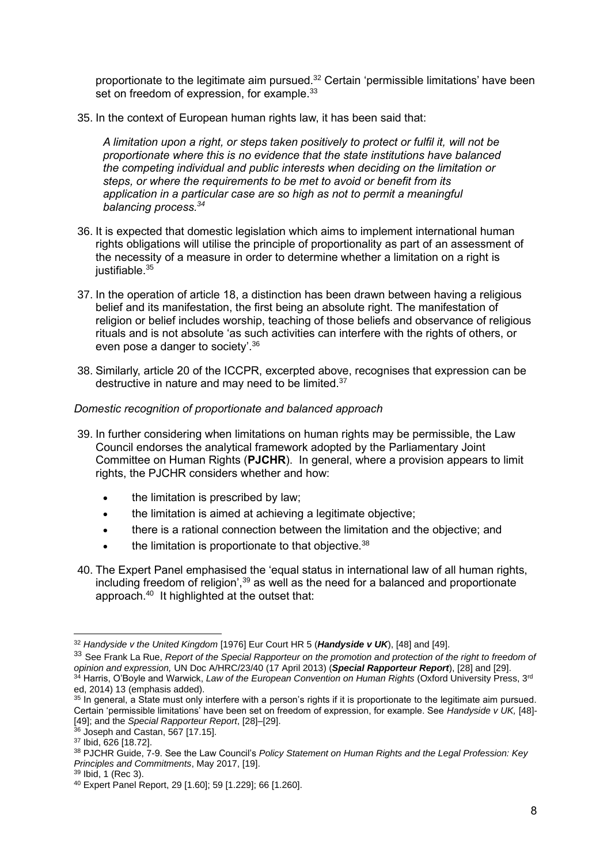proportionate to the legitimate aim pursued.<sup>32</sup> Certain 'permissible limitations' have been set on freedom of expression, for example.<sup>33</sup>

35. In the context of European human rights law, it has been said that:

*A limitation upon a right, or steps taken positively to protect or fulfil it, will not be proportionate where this is no evidence that the state institutions have balanced the competing individual and public interests when deciding on the limitation or steps, or where the requirements to be met to avoid or benefit from its application in a particular case are so high as not to permit a meaningful balancing process.<sup>34</sup>*

- 36. It is expected that domestic legislation which aims to implement international human rights obligations will utilise the principle of proportionality as part of an assessment of the necessity of a measure in order to determine whether a limitation on a right is justifiable.<sup>35</sup>
- 37. In the operation of article 18, a distinction has been drawn between having a religious belief and its manifestation, the first being an absolute right. The manifestation of religion or belief includes worship, teaching of those beliefs and observance of religious rituals and is not absolute 'as such activities can interfere with the rights of others, or even pose a danger to society'.<sup>36</sup>
- 38. Similarly, article 20 of the ICCPR, excerpted above, recognises that expression can be destructive in nature and may need to be limited.<sup>37</sup>

# *Domestic recognition of proportionate and balanced approach*

- 39. In further considering when limitations on human rights may be permissible, the Law Council endorses the analytical framework adopted by the Parliamentary Joint Committee on Human Rights (**PJCHR**). In general, where a provision appears to limit rights, the PJCHR considers whether and how:
	- the limitation is prescribed by law;
	- the limitation is aimed at achieving a legitimate objective;
	- there is a rational connection between the limitation and the objective; and
	- the limitation is proportionate to that objective.  $38$
- 40. The Expert Panel emphasised the 'equal status in international law of all human rights, including freedom of religion', $39$  as well as the need for a balanced and proportionate approach.<sup>40</sup> It highlighted at the outset that:

<sup>32</sup> *Handyside v the United Kingdom* [1976] Eur Court HR 5 (*Handyside v UK*), [48] and [49].

<sup>&</sup>lt;sup>33</sup> See Frank La Rue, *Report of the Special Rapporteur on the promotion and protection of the right to freedom of opinion and expression,* UN Doc A/HRC/23/40 (17 April 2013) (*Special Rapporteur Report*), [28] and [29]. <sup>34</sup> Harris, O'Boyle and Warwick, *Law of the European Convention on Human Rights* (Oxford University Press, 3rd ed, 2014) 13 (emphasis added).

<sup>&</sup>lt;sup>35</sup> In general, a State must only interfere with a person's rights if it is proportionate to the legitimate aim pursued. Certain 'permissible limitations' have been set on freedom of expression, for example. See *Handyside v UK,* [48]- [49]; and the *Special Rapporteur Report*, [28]–[29].

 $36$  Joseph and Castan, 567 [17.15].

<sup>37</sup> Ibid, 626 [18.72].

<sup>38</sup> PJCHR Guide, 7-9. See the Law Council's *Policy Statement on Human Rights and the Legal Profession: Key Principles and Commitments*, May 2017, [19].

<sup>39</sup> Ibid, 1 (Rec 3).

<sup>40</sup> Expert Panel Report, 29 [1.60]; 59 [1.229]; 66 [1.260].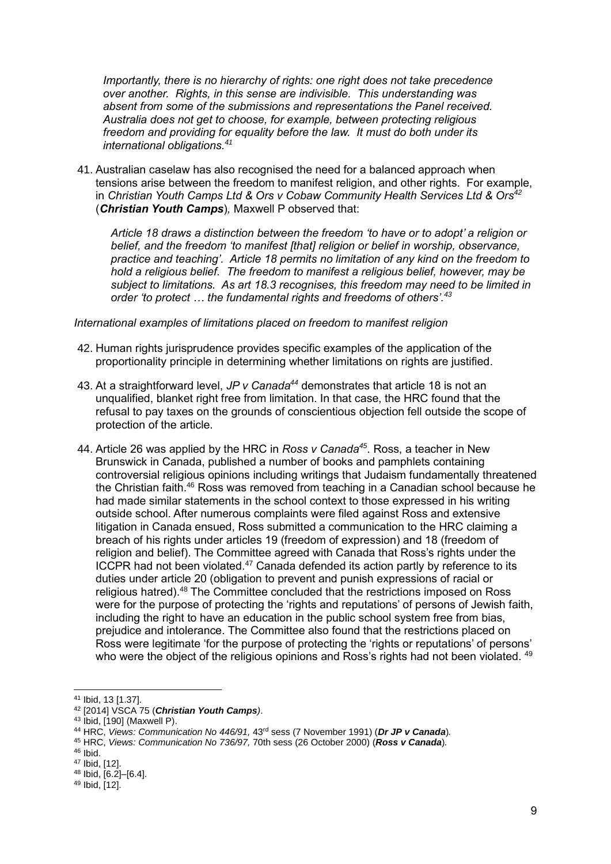*Importantly, there is no hierarchy of rights: one right does not take precedence over another. Rights, in this sense are indivisible. This understanding was absent from some of the submissions and representations the Panel received. Australia does not get to choose, for example, between protecting religious freedom and providing for equality before the law. It must do both under its international obligations.<sup>41</sup>*

41. Australian caselaw has also recognised the need for a balanced approach when tensions arise between the freedom to manifest religion, and other rights. For example, in *Christian Youth Camps Ltd & Ors v Cobaw Community Health Services Ltd & Ors<sup>42</sup>* (*Christian Youth Camps*)*,* Maxwell P observed that:

*Article 18 draws a distinction between the freedom 'to have or to adopt' a religion or belief, and the freedom 'to manifest [that] religion or belief in worship, observance, practice and teaching'. Article 18 permits no limitation of any kind on the freedom to hold a religious belief. The freedom to manifest a religious belief, however, may be subject to limitations. As art 18.3 recognises, this freedom may need to be limited in order 'to protect … the fundamental rights and freedoms of others'.<sup>43</sup>*

#### *International examples of limitations placed on freedom to manifest religion*

- 42. Human rights jurisprudence provides specific examples of the application of the proportionality principle in determining whether limitations on rights are justified.
- 43. At a straightforward level, *JP v Canada<sup>44</sup>* demonstrates that article 18 is not an unqualified, blanket right free from limitation. In that case, the HRC found that the refusal to pay taxes on the grounds of conscientious objection fell outside the scope of protection of the article.
- 44. Article 26 was applied by the HRC in *Ross v Canada<sup>45</sup>*. Ross, a teacher in New Brunswick in Canada, published a number of books and pamphlets containing controversial religious opinions including writings that Judaism fundamentally threatened the Christian faith.<sup>46</sup> Ross was removed from teaching in a Canadian school because he had made similar statements in the school context to those expressed in his writing outside school. After numerous complaints were filed against Ross and extensive litigation in Canada ensued, Ross submitted a communication to the HRC claiming a breach of his rights under articles 19 (freedom of expression) and 18 (freedom of religion and belief). The Committee agreed with Canada that Ross's rights under the ICCPR had not been violated.<sup>47</sup> Canada defended its action partly by reference to its duties under article 20 (obligation to prevent and punish expressions of racial or religious hatred).<sup>48</sup> The Committee concluded that the restrictions imposed on Ross were for the purpose of protecting the 'rights and reputations' of persons of Jewish faith, including the right to have an education in the public school system free from bias, prejudice and intolerance. The Committee also found that the restrictions placed on Ross were legitimate 'for the purpose of protecting the 'rights or reputations' of persons' who were the object of the religious opinions and Ross's rights had not been violated. <sup>49</sup>

<sup>41</sup> Ibid, 13 [1.37].

<sup>42</sup> [2014] VSCA 75 (*Christian Youth Camps)*.

<sup>43</sup> Ibid, [190] (Maxwell P).

<sup>44</sup> HRC, *Views: Communication No 446/91,* 43rd sess (7 November 1991) (*Dr JP v Canada*)*.*

<sup>45</sup> HRC, *Views: Communication No 736/97,* 70th sess (26 October 2000) (*Ross v Canada*)*.*

 $46$  Ibid.

<sup>47</sup> Ibid, [12].

<sup>48</sup> Ibid, [6.2]–[6.4].

<sup>49</sup> Ibid, [12].